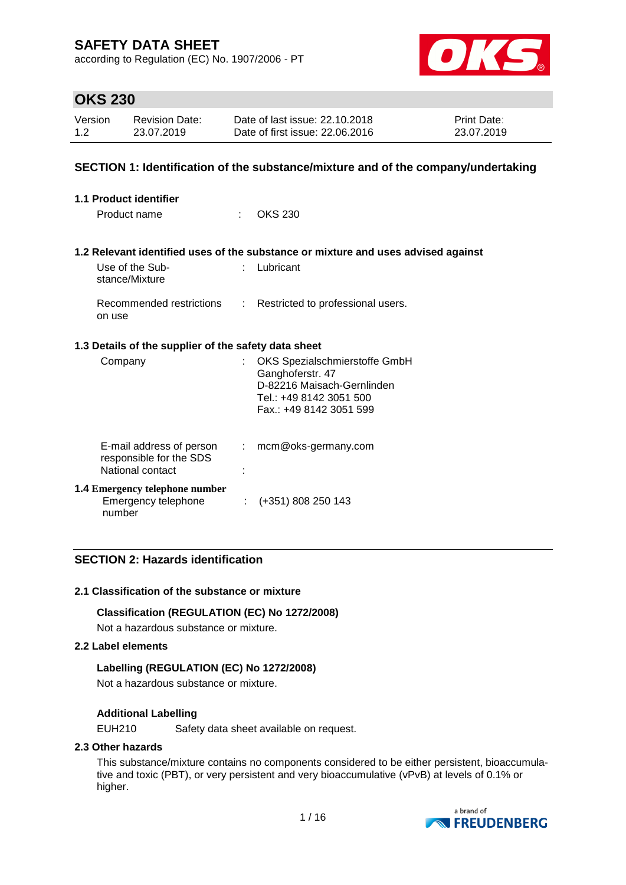according to Regulation (EC) No. 1907/2006 - PT



## **OKS 230**

| Version | <b>Revision Date:</b> | Date of last issue: 22.10.2018  | <b>Print Date:</b> |
|---------|-----------------------|---------------------------------|--------------------|
| 1.2     | 23.07.2019            | Date of first issue: 22,06,2016 | 23.07.2019         |

### **SECTION 1: Identification of the substance/mixture and of the company/undertaking**

| 1.1 Product identifier                                                  |      |                                                                                                                                       |  |  |  |
|-------------------------------------------------------------------------|------|---------------------------------------------------------------------------------------------------------------------------------------|--|--|--|
| Product name                                                            | t in | <b>OKS 230</b>                                                                                                                        |  |  |  |
|                                                                         |      | 1.2 Relevant identified uses of the substance or mixture and uses advised against                                                     |  |  |  |
| Use of the Sub-<br>stance/Mixture                                       |      | $:$ Lubricant                                                                                                                         |  |  |  |
| on use                                                                  |      | Recommended restrictions : Restricted to professional users.                                                                          |  |  |  |
| 1.3 Details of the supplier of the safety data sheet                    |      |                                                                                                                                       |  |  |  |
| Company                                                                 |      | OKS Spezialschmierstoffe GmbH<br>Ganghoferstr. 47<br>D-82216 Maisach-Gernlinden<br>Tel.: +49 8142 3051 500<br>Fax.: +49 8142 3051 599 |  |  |  |
| E-mail address of person<br>responsible for the SDS<br>National contact |      | $:$ mcm@oks-germany.com                                                                                                               |  |  |  |
| <b>1.4 Emergency telephone number</b><br>Emergency telephone<br>number  |      | $\div$ (+351) 808 250 143                                                                                                             |  |  |  |

### **SECTION 2: Hazards identification**

#### **2.1 Classification of the substance or mixture**

#### **Classification (REGULATION (EC) No 1272/2008)**

Not a hazardous substance or mixture.

#### **2.2 Label elements**

#### **Labelling (REGULATION (EC) No 1272/2008)**

Not a hazardous substance or mixture.

#### **Additional Labelling**

EUH210 Safety data sheet available on request.

#### **2.3 Other hazards**

This substance/mixture contains no components considered to be either persistent, bioaccumulative and toxic (PBT), or very persistent and very bioaccumulative (vPvB) at levels of 0.1% or higher.

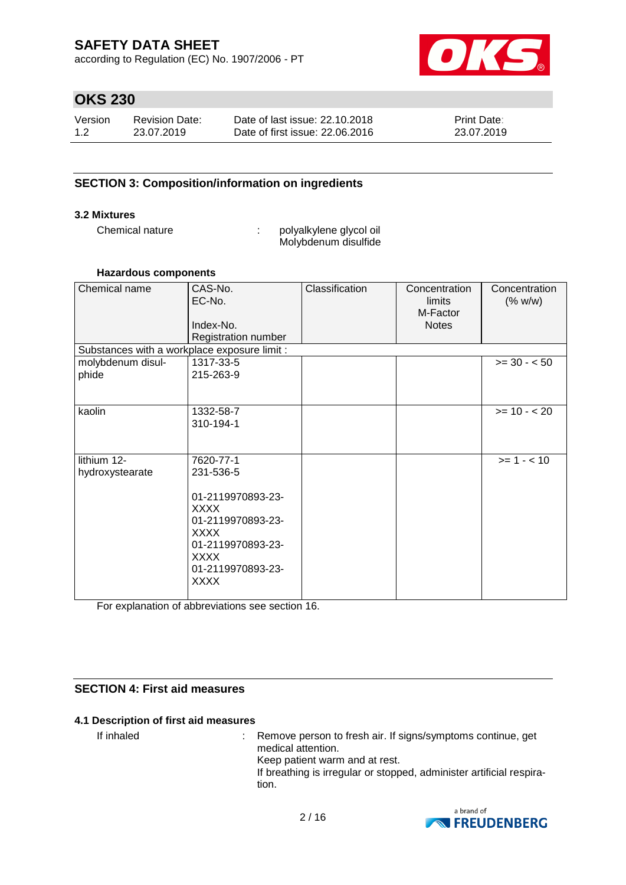according to Regulation (EC) No. 1907/2006 - PT



## **OKS 230**

| Version | Revision Date: | Date of last issue: 22.10.2018  | <b>Print Date:</b> |
|---------|----------------|---------------------------------|--------------------|
| 1.2     | 23.07.2019     | Date of first issue: 22,06,2016 | 23.07.2019         |

### **SECTION 3: Composition/information on ingredients**

#### **3.2 Mixtures**

Chemical nature  $\qquad \qquad : \qquad$  polyalkylene glycol oil Molybdenum disulfide

#### **Hazardous components**

| Chemical name                                | CAS-No.<br>EC-No.<br>Index-No.<br>Registration number                                                                                                                  | Classification | Concentration<br>limits<br>M-Factor<br><b>Notes</b> | Concentration<br>(% w/w) |
|----------------------------------------------|------------------------------------------------------------------------------------------------------------------------------------------------------------------------|----------------|-----------------------------------------------------|--------------------------|
| Substances with a workplace exposure limit : |                                                                                                                                                                        |                |                                                     |                          |
| molybdenum disul-<br>phide                   | 1317-33-5<br>215-263-9                                                                                                                                                 |                |                                                     | $>= 30 - 50$             |
| kaolin                                       | 1332-58-7<br>310-194-1                                                                                                                                                 |                |                                                     | $>= 10 - 20$             |
| lithium 12-<br>hydroxystearate               | 7620-77-1<br>231-536-5<br>01-2119970893-23-<br><b>XXXX</b><br>01-2119970893-23-<br><b>XXXX</b><br>01-2119970893-23-<br><b>XXXX</b><br>01-2119970893-23-<br><b>XXXX</b> |                |                                                     | $>= 1 - < 10$            |

For explanation of abbreviations see section 16.

### **SECTION 4: First aid measures**

#### **4.1 Description of first aid measures**

If inhaled : Remove person to fresh air. If signs/symptoms continue, get medical attention. Keep patient warm and at rest. If breathing is irregular or stopped, administer artificial respiration.

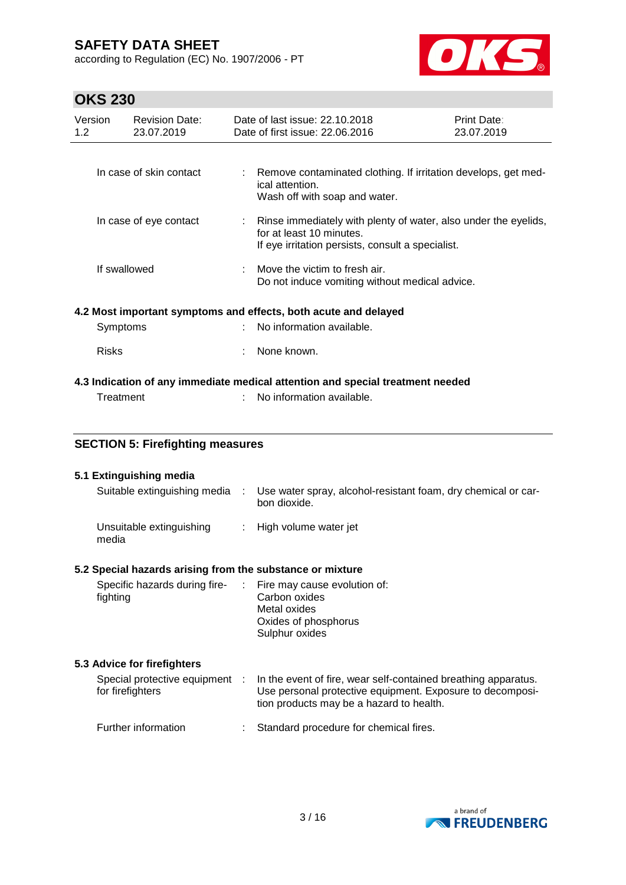according to Regulation (EC) No. 1907/2006 - PT



# **OKS 230**

| טיגט בטט                                  |                                                           |    |                                                                                                                                                  |                           |  |
|-------------------------------------------|-----------------------------------------------------------|----|--------------------------------------------------------------------------------------------------------------------------------------------------|---------------------------|--|
| Version<br>1.2                            | <b>Revision Date:</b><br>23.07.2019                       |    | Date of last issue: 22.10.2018<br>Date of first issue: 22.06.2016                                                                                | Print Date:<br>23.07.2019 |  |
|                                           |                                                           |    |                                                                                                                                                  |                           |  |
|                                           | In case of skin contact                                   | t. | Remove contaminated clothing. If irritation develops, get med-<br>ical attention.<br>Wash off with soap and water.                               |                           |  |
| In case of eye contact                    |                                                           |    | Rinse immediately with plenty of water, also under the eyelids,<br>for at least 10 minutes.<br>If eye irritation persists, consult a specialist. |                           |  |
|                                           | If swallowed                                              |    | Move the victim to fresh air.<br>Do not induce vomiting without medical advice.                                                                  |                           |  |
|                                           |                                                           |    | 4.2 Most important symptoms and effects, both acute and delayed                                                                                  |                           |  |
| Symptoms                                  |                                                           |    | No information available.                                                                                                                        |                           |  |
| <b>Risks</b>                              |                                                           |    | None known.                                                                                                                                      |                           |  |
|                                           |                                                           |    | 4.3 Indication of any immediate medical attention and special treatment needed                                                                   |                           |  |
|                                           | Treatment                                                 |    | No information available.                                                                                                                        |                           |  |
|                                           |                                                           |    |                                                                                                                                                  |                           |  |
|                                           | <b>SECTION 5: Firefighting measures</b>                   |    |                                                                                                                                                  |                           |  |
|                                           | 5.1 Extinguishing media                                   |    |                                                                                                                                                  |                           |  |
|                                           | Suitable extinguishing media                              |    | Use water spray, alcohol-resistant foam, dry chemical or car-<br>bon dioxide.                                                                    |                           |  |
| Unsuitable extinguishing<br>media         |                                                           | ÷  | High volume water jet                                                                                                                            |                           |  |
|                                           | 5.2 Special hazards arising from the substance or mixture |    |                                                                                                                                                  |                           |  |
| Specific hazards during fire-<br>fighting |                                                           | ÷  | Fire may cause evolution of:<br>Carbon oxides                                                                                                    |                           |  |

Metal oxides Oxides of phosphorus Sulphur oxides

### **5.3 Advice for firefighters**

| Special protective equipment<br>for firefighters | In the event of fire, wear self-contained breathing apparatus.<br>Use personal protective equipment. Exposure to decomposi-<br>tion products may be a hazard to health. |
|--------------------------------------------------|-------------------------------------------------------------------------------------------------------------------------------------------------------------------------|
| Further information                              | Standard procedure for chemical fires.                                                                                                                                  |

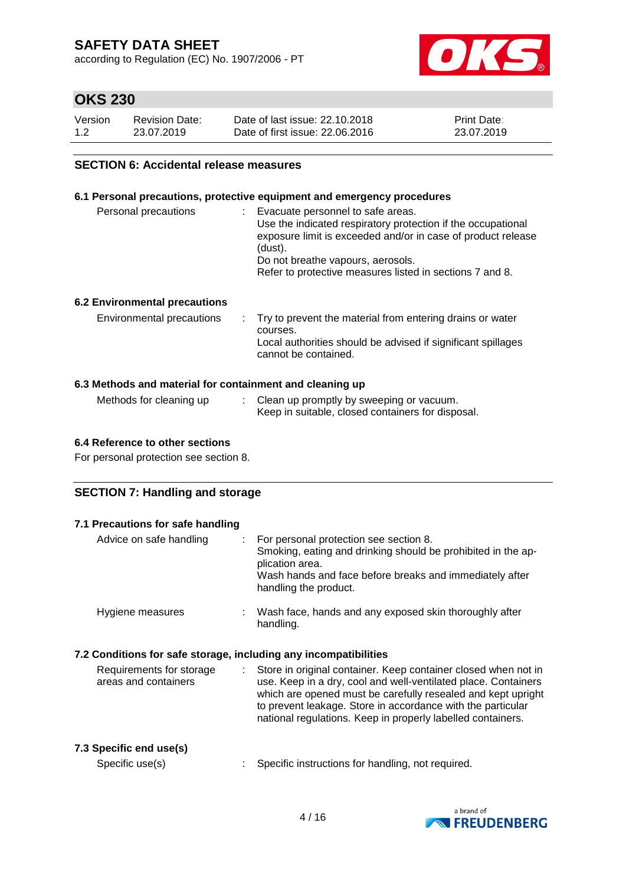according to Regulation (EC) No. 1907/2006 - PT



## **OKS 230**

| Version | <b>Revision Date:</b> | Date of last issue: 22.10.2018  | <b>Print Date:</b> |
|---------|-----------------------|---------------------------------|--------------------|
| 1.2     | 23.07.2019            | Date of first issue: 22,06,2016 | 23.07.2019         |

### **SECTION 6: Accidental release measures**

#### **6.1 Personal precautions, protective equipment and emergency procedures**

| Personal precautions                 | Evacuate personnel to safe areas.<br>Use the indicated respiratory protection if the occupational<br>exposure limit is exceeded and/or in case of product release<br>(dust).<br>Do not breathe vapours, aerosols.<br>Refer to protective measures listed in sections 7 and 8. |
|--------------------------------------|-------------------------------------------------------------------------------------------------------------------------------------------------------------------------------------------------------------------------------------------------------------------------------|
| <b>6.2 Environmental precautions</b> |                                                                                                                                                                                                                                                                               |

#### **6.3 Methods and material for containment and cleaning up**

| Methods for cleaning up | Clean up promptly by sweeping or vacuum.          |
|-------------------------|---------------------------------------------------|
|                         | Keep in suitable, closed containers for disposal. |

#### **6.4 Reference to other sections**

For personal protection see section 8.

### **SECTION 7: Handling and storage**

| 7.1 Precautions for safe handling                                                                                                                                                                                                                                                                                                                            |
|--------------------------------------------------------------------------------------------------------------------------------------------------------------------------------------------------------------------------------------------------------------------------------------------------------------------------------------------------------------|
| For personal protection see section 8.<br>Smoking, eating and drinking should be prohibited in the ap-<br>plication area.<br>Wash hands and face before breaks and immediately after<br>handling the product.                                                                                                                                                |
| Wash face, hands and any exposed skin thoroughly after<br>handling.                                                                                                                                                                                                                                                                                          |
| 7.2 Conditions for safe storage, including any incompatibilities                                                                                                                                                                                                                                                                                             |
| Store in original container. Keep container closed when not in<br>$\mathcal{L}^{\text{max}}$<br>use. Keep in a dry, cool and well-ventilated place. Containers<br>which are opened must be carefully resealed and kept upright<br>to prevent leakage. Store in accordance with the particular<br>national regulations. Keep in properly labelled containers. |
| Specific instructions for handling, not required.                                                                                                                                                                                                                                                                                                            |
|                                                                                                                                                                                                                                                                                                                                                              |

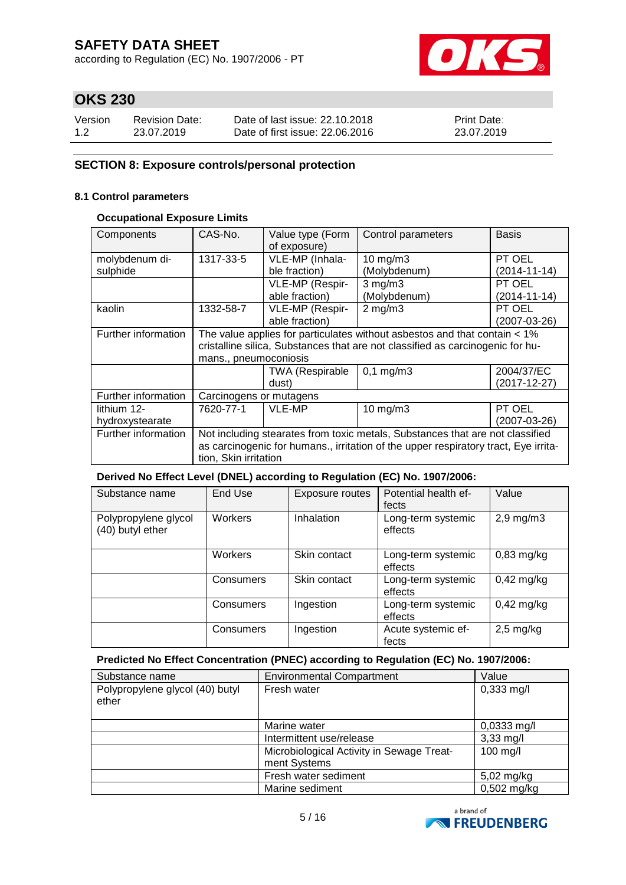according to Regulation (EC) No. 1907/2006 - PT



## **OKS 230**

| Version | Revision Date: | Date of last issue: 22.10.2018  | <b>Print Date:</b> |
|---------|----------------|---------------------------------|--------------------|
| 1.2     | 23.07.2019     | Date of first issue: 22,06,2016 | 23.07.2019         |

### **SECTION 8: Exposure controls/personal protection**

#### **8.1 Control parameters**

### **Occupational Exposure Limits**

| Components          | CAS-No.                                                                     | Value type (Form<br>of exposure)                                                    | Control parameters                                                             | <b>Basis</b>       |  |  |  |
|---------------------|-----------------------------------------------------------------------------|-------------------------------------------------------------------------------------|--------------------------------------------------------------------------------|--------------------|--|--|--|
| molybdenum di-      | 1317-33-5                                                                   | VLE-MP (Inhala-<br>$10 \text{ mg/m}$                                                |                                                                                | PT OEL             |  |  |  |
| sulphide            |                                                                             | ble fraction)<br>(Molybdenum)<br>(2014-11-14)                                       |                                                                                |                    |  |  |  |
|                     |                                                                             | VLE-MP (Respir-                                                                     | $3$ mg/m $3$                                                                   | PT OEL             |  |  |  |
|                     |                                                                             | able fraction)                                                                      | (Molybdenum)                                                                   | $(2014 - 11 - 14)$ |  |  |  |
| kaolin              | 1332-58-7                                                                   | VLE-MP (Respir-<br>$2$ mg/m $3$                                                     |                                                                                | PT OEL             |  |  |  |
|                     |                                                                             | able fraction)                                                                      |                                                                                | (2007-03-26)       |  |  |  |
| Further information | The value applies for particulates without asbestos and that contain $<$ 1% |                                                                                     |                                                                                |                    |  |  |  |
|                     |                                                                             |                                                                                     | cristalline silica, Substances that are not classified as carcinogenic for hu- |                    |  |  |  |
|                     | mans., pneumoconiosis                                                       |                                                                                     |                                                                                |                    |  |  |  |
|                     |                                                                             | <b>TWA (Respirable</b>                                                              | $0,1 \, \text{mg/m}$ 3                                                         | 2004/37/EC         |  |  |  |
|                     |                                                                             | dust)                                                                               |                                                                                | $(2017 - 12 - 27)$ |  |  |  |
| Further information | Carcinogens or mutagens                                                     |                                                                                     |                                                                                |                    |  |  |  |
| lithium 12-         | 7620-77-1                                                                   | <b>VLE-MP</b>                                                                       | $10$ mg/m $3$                                                                  | PT OEL             |  |  |  |
| hydroxystearate     |                                                                             | (2007-03-26)                                                                        |                                                                                |                    |  |  |  |
| Further information |                                                                             |                                                                                     | Not including stearates from toxic metals, Substances that are not classified  |                    |  |  |  |
|                     |                                                                             | as carcinogenic for humans., irritation of the upper respiratory tract, Eye irrita- |                                                                                |                    |  |  |  |
|                     |                                                                             | tion, Skin irritation                                                               |                                                                                |                    |  |  |  |

#### **Derived No Effect Level (DNEL) according to Regulation (EC) No. 1907/2006:**

| Substance name                           | End Use   | Exposure routes | Potential health ef-<br>fects | Value          |
|------------------------------------------|-----------|-----------------|-------------------------------|----------------|
| Polypropylene glycol<br>(40) butyl ether | Workers   | Inhalation      | Long-term systemic<br>effects | $2,9$ mg/m $3$ |
|                                          | Workers   | Skin contact    | Long-term systemic<br>effects | $0,83$ mg/kg   |
|                                          | Consumers | Skin contact    | Long-term systemic<br>effects | $0,42$ mg/kg   |
|                                          | Consumers | Ingestion       | Long-term systemic<br>effects | $0,42$ mg/kg   |
|                                          | Consumers | Ingestion       | Acute systemic ef-<br>fects   | $2,5$ mg/kg    |

#### **Predicted No Effect Concentration (PNEC) according to Regulation (EC) No. 1907/2006:**

| Substance name                           | <b>Environmental Compartment</b>                          | Value                |
|------------------------------------------|-----------------------------------------------------------|----------------------|
| Polypropylene glycol (40) butyl<br>ether | Fresh water                                               | $0,333 \text{ mg/l}$ |
|                                          | Marine water                                              | 0,0333 mg/l          |
|                                          | Intermittent use/release                                  | $3,33$ mg/l          |
|                                          | Microbiological Activity in Sewage Treat-<br>ment Systems | $100$ mg/l           |
|                                          | Fresh water sediment                                      | 5,02 mg/kg           |
|                                          | Marine sediment                                           | $0,502$ mg/kg        |

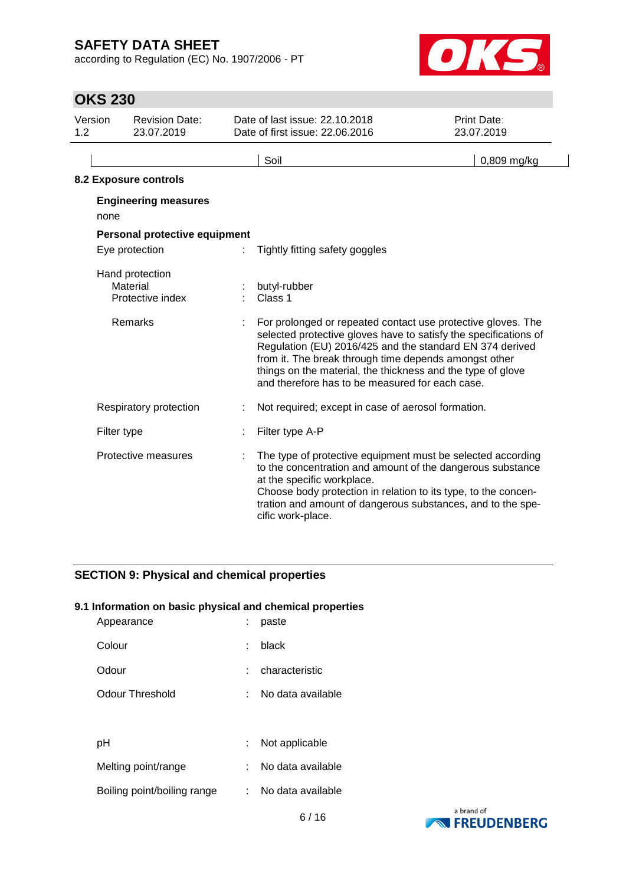according to Regulation (EC) No. 1907/2006 - PT



## **OKS 230**

| Version<br>1.2 | <b>Revision Date:</b><br>23.07.2019             | Date of last issue: 22.10.2018<br>Date of first issue: 22,06,2016                                                                                                                                                                                                                                                                                                       | Print Date:<br>23.07.2019 |
|----------------|-------------------------------------------------|-------------------------------------------------------------------------------------------------------------------------------------------------------------------------------------------------------------------------------------------------------------------------------------------------------------------------------------------------------------------------|---------------------------|
|                |                                                 | Soil                                                                                                                                                                                                                                                                                                                                                                    | 0,809 mg/kg               |
|                | 8.2 Exposure controls                           |                                                                                                                                                                                                                                                                                                                                                                         |                           |
|                | <b>Engineering measures</b><br>none             |                                                                                                                                                                                                                                                                                                                                                                         |                           |
|                | Personal protective equipment                   |                                                                                                                                                                                                                                                                                                                                                                         |                           |
|                | Eye protection                                  | Tightly fitting safety goggles                                                                                                                                                                                                                                                                                                                                          |                           |
|                | Hand protection<br>Material<br>Protective index | butyl-rubber<br>Class 1                                                                                                                                                                                                                                                                                                                                                 |                           |
|                | Remarks                                         | For prolonged or repeated contact use protective gloves. The<br>selected protective gloves have to satisfy the specifications of<br>Regulation (EU) 2016/425 and the standard EN 374 derived<br>from it. The break through time depends amongst other<br>things on the material, the thickness and the type of glove<br>and therefore has to be measured for each case. |                           |
|                | Respiratory protection                          | Not required; except in case of aerosol formation.                                                                                                                                                                                                                                                                                                                      |                           |
|                | Filter type                                     | Filter type A-P                                                                                                                                                                                                                                                                                                                                                         |                           |
|                | Protective measures                             | The type of protective equipment must be selected according<br>to the concentration and amount of the dangerous substance<br>at the specific workplace.<br>Choose body protection in relation to its type, to the concen-<br>tration and amount of dangerous substances, and to the spe-<br>cific work-place.                                                           |                           |

## **SECTION 9: Physical and chemical properties**

### **9.1 Information on basic physical and chemical properties**

| Appearance                  |    | paste             |
|-----------------------------|----|-------------------|
| Colour                      | ÷  | black             |
| Odour                       |    | characteristic    |
| Odour Threshold             |    | No data available |
|                             |    |                   |
| рH                          | ÷. | Not applicable    |
| Melting point/range         |    | No data available |
| Boiling point/boiling range |    | No data available |

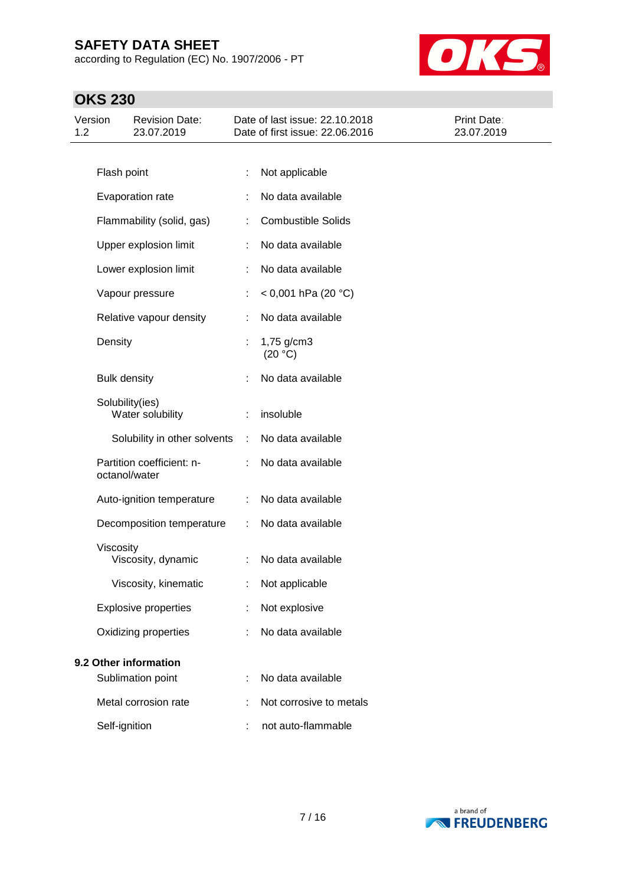according to Regulation (EC) No. 1907/2006 - PT



## **OKS 230**

| Version<br>1.2 |                     | <b>Revision Date:</b><br>23.07.2019        |           | Date of last issue: 22.10.2018<br>Date of first issue: 22.06.2016 | Print Date:<br>23.07.2019 |
|----------------|---------------------|--------------------------------------------|-----------|-------------------------------------------------------------------|---------------------------|
|                |                     |                                            |           |                                                                   |                           |
|                | Flash point         |                                            | ÷         | Not applicable                                                    |                           |
|                |                     | Evaporation rate                           |           | No data available                                                 |                           |
|                |                     | Flammability (solid, gas)                  | ÷         | <b>Combustible Solids</b>                                         |                           |
|                |                     | Upper explosion limit                      | ÷         | No data available                                                 |                           |
|                |                     | Lower explosion limit                      | ÷         | No data available                                                 |                           |
|                |                     | Vapour pressure                            | ÷.        | $<$ 0,001 hPa (20 °C)                                             |                           |
|                |                     | Relative vapour density                    | ÷         | No data available                                                 |                           |
|                | Density             |                                            | ÷         | 1,75 g/cm3<br>(20 °C)                                             |                           |
|                | <b>Bulk density</b> |                                            |           | No data available                                                 |                           |
|                |                     | Solubility(ies)<br>Water solubility        |           | insoluble                                                         |                           |
|                |                     | Solubility in other solvents               | $\sim$ 10 | No data available                                                 |                           |
|                |                     | Partition coefficient: n-<br>octanol/water |           | No data available                                                 |                           |
|                |                     | Auto-ignition temperature                  | ÷         | No data available                                                 |                           |
|                |                     | Decomposition temperature                  | ÷         | No data available                                                 |                           |
|                | Viscosity           | Viscosity, dynamic                         | ÷         | No data available                                                 |                           |
|                |                     | Viscosity, kinematic                       |           | Not applicable                                                    |                           |
|                |                     | <b>Explosive properties</b>                |           | Not explosive                                                     |                           |
|                |                     | Oxidizing properties                       |           | No data available                                                 |                           |
|                |                     | 9.2 Other information                      |           |                                                                   |                           |
|                |                     | Sublimation point                          |           | No data available                                                 |                           |
|                |                     | Metal corrosion rate                       |           | Not corrosive to metals                                           |                           |
|                | Self-ignition       |                                            | ÷         | not auto-flammable                                                |                           |

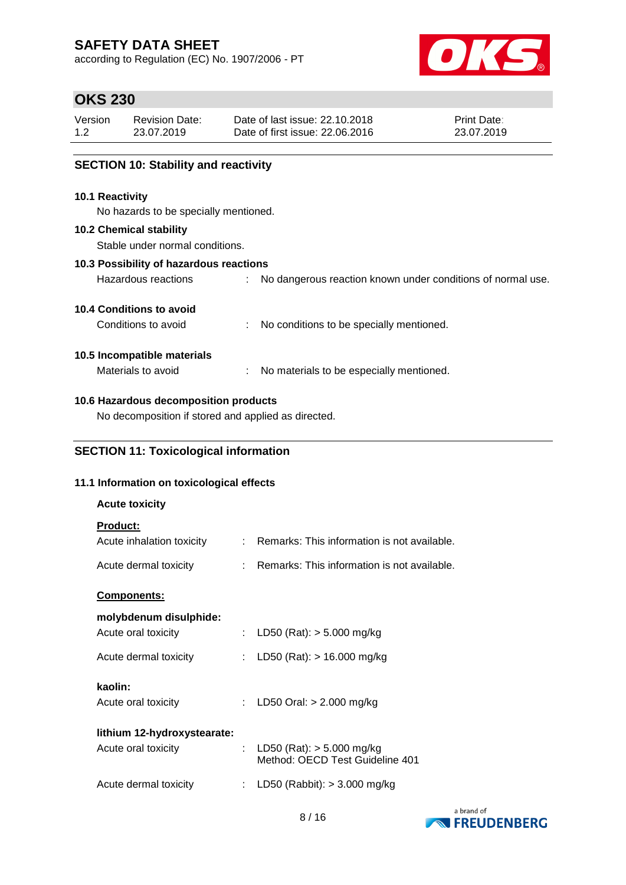according to Regulation (EC) No. 1907/2006 - PT



## **OKS 230**

| Version | <b>Revision Date:</b> | Date of last issue: 22.10.2018  | <b>Print Date:</b> |
|---------|-----------------------|---------------------------------|--------------------|
| 1.2     | 23.07.2019            | Date of first issue: 22,06,2016 | 23.07.2019         |

### **SECTION 10: Stability and reactivity**

#### **10.1 Reactivity**

No hazards to be specially mentioned.

#### **10.2 Chemical stability**

Stable under normal conditions.

#### **10.3 Possibility of hazardous reactions**

| Hazardous reactions |  | No dangerous reaction known under conditions of normal use. |  |  |  |  |  |  |  |
|---------------------|--|-------------------------------------------------------------|--|--|--|--|--|--|--|
|---------------------|--|-------------------------------------------------------------|--|--|--|--|--|--|--|

### **10.4 Conditions to avoid**

Conditions to avoid : No conditions to be specially mentioned.

### **10.5 Incompatible materials**

Materials to avoid : No materials to be especially mentioned.

### **10.6 Hazardous decomposition products**

No decomposition if stored and applied as directed.

### **SECTION 11: Toxicological information**

#### **11.1 Information on toxicological effects**

| <b>Acute toxicity</b>                        |    |                                                                  |
|----------------------------------------------|----|------------------------------------------------------------------|
| <b>Product:</b><br>Acute inhalation toxicity |    | $\therefore$ Remarks: This information is not available.         |
| Acute dermal toxicity                        |    | $\therefore$ Remarks: This information is not available.         |
| Components:                                  |    |                                                                  |
| molybdenum disulphide:                       |    |                                                                  |
| Acute oral toxicity                          | t. | LD50 (Rat): $> 5.000$ mg/kg                                      |
| Acute dermal toxicity                        | t. | LD50 (Rat): $> 16.000$ mg/kg                                     |
| kaolin:<br>Acute oral toxicity               | ÷  | LD50 Oral: $> 2.000$ mg/kg                                       |
| lithium 12-hydroxystearate:                  |    |                                                                  |
| Acute oral toxicity                          |    | : LD50 (Rat): $>$ 5.000 mg/kg<br>Method: OECD Test Guideline 401 |
| Acute dermal toxicity                        | ÷  | LD50 (Rabbit): $>$ 3.000 mg/kg                                   |
|                                              |    |                                                                  |

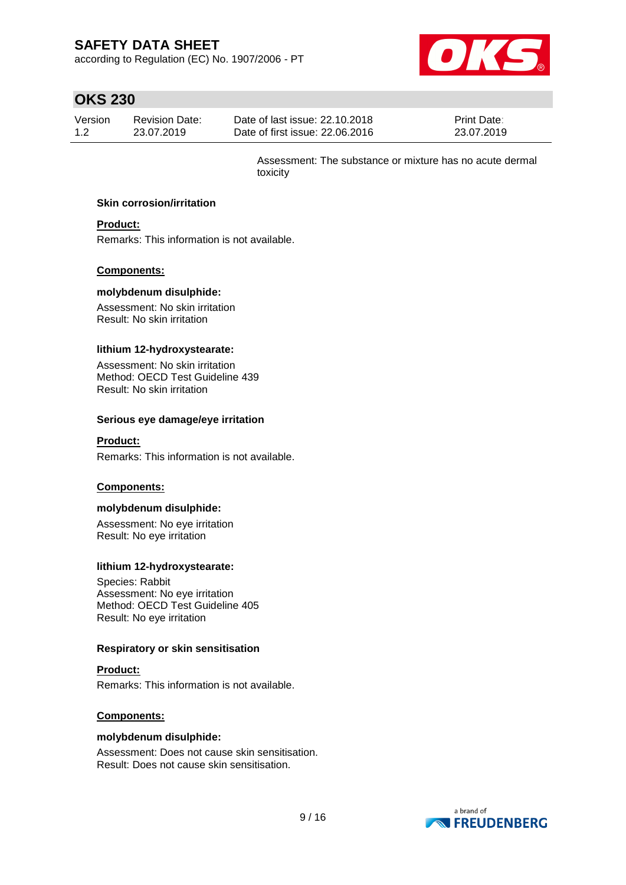according to Regulation (EC) No. 1907/2006 - PT



## **OKS 230**

| Version | Revision Date: | Date of last issue: 22.10.2018  | <b>Print Date:</b> |
|---------|----------------|---------------------------------|--------------------|
| 1.2     | 23.07.2019     | Date of first issue: 22,06,2016 | 23.07.2019         |

Assessment: The substance or mixture has no acute dermal toxicity

#### **Skin corrosion/irritation**

### **Product:**

Remarks: This information is not available.

#### **Components:**

#### **molybdenum disulphide:**

Assessment: No skin irritation Result: No skin irritation

#### **lithium 12-hydroxystearate:**

Assessment: No skin irritation Method: OECD Test Guideline 439 Result: No skin irritation

#### **Serious eye damage/eye irritation**

#### **Product:**

Remarks: This information is not available.

#### **Components:**

#### **molybdenum disulphide:**

Assessment: No eye irritation Result: No eye irritation

#### **lithium 12-hydroxystearate:**

Species: Rabbit Assessment: No eye irritation Method: OECD Test Guideline 405 Result: No eye irritation

#### **Respiratory or skin sensitisation**

#### **Product:**

Remarks: This information is not available.

#### **Components:**

#### **molybdenum disulphide:**

Assessment: Does not cause skin sensitisation. Result: Does not cause skin sensitisation.

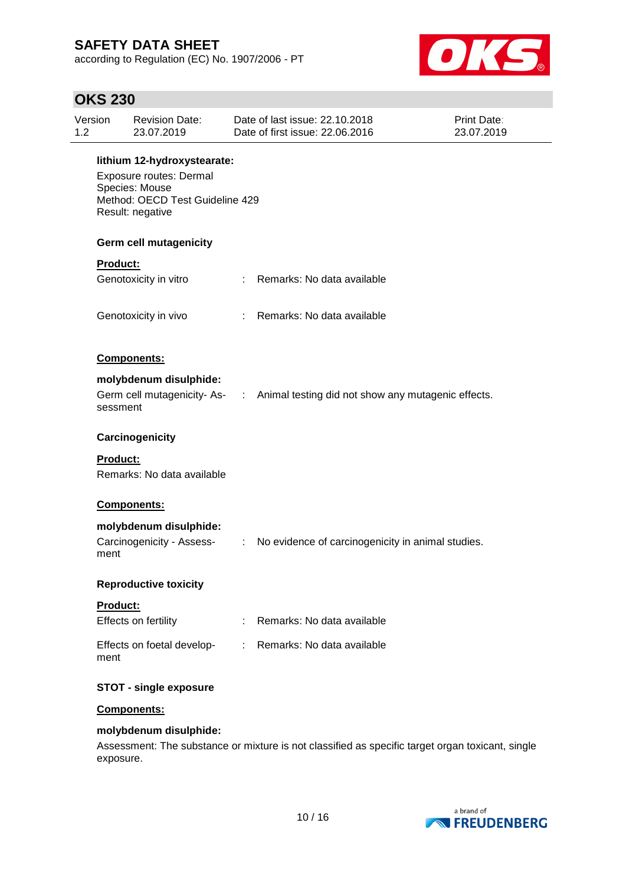according to Regulation (EC) No. 1907/2006 - PT



## **OKS 230**

| Version<br>1.2 | <b>Revision Date:</b><br>23.07.2019                                                                                             |                               | Date of last issue: 22.10.2018<br>Date of first issue: 22,06,2016                | Print Date:<br>23.07.2019 |  |  |  |  |
|----------------|---------------------------------------------------------------------------------------------------------------------------------|-------------------------------|----------------------------------------------------------------------------------|---------------------------|--|--|--|--|
|                | lithium 12-hydroxystearate:<br>Exposure routes: Dermal<br>Species: Mouse<br>Method: OECD Test Guideline 429<br>Result: negative |                               |                                                                                  |                           |  |  |  |  |
|                | <b>Germ cell mutagenicity</b>                                                                                                   |                               |                                                                                  |                           |  |  |  |  |
|                | Product:                                                                                                                        |                               |                                                                                  |                           |  |  |  |  |
|                | Genotoxicity in vitro                                                                                                           |                               | : Remarks: No data available                                                     |                           |  |  |  |  |
|                | Genotoxicity in vivo                                                                                                            |                               | : Remarks: No data available                                                     |                           |  |  |  |  |
|                | Components:                                                                                                                     |                               |                                                                                  |                           |  |  |  |  |
|                | molybdenum disulphide:                                                                                                          |                               |                                                                                  |                           |  |  |  |  |
|                | sessment                                                                                                                        |                               | Germ cell mutagenicity- As- : Animal testing did not show any mutagenic effects. |                           |  |  |  |  |
|                | Carcinogenicity                                                                                                                 |                               |                                                                                  |                           |  |  |  |  |
|                | Product:<br>Remarks: No data available                                                                                          |                               |                                                                                  |                           |  |  |  |  |
|                | Components:                                                                                                                     |                               |                                                                                  |                           |  |  |  |  |
|                | molybdenum disulphide:                                                                                                          |                               |                                                                                  |                           |  |  |  |  |
| ment           | Carcinogenicity - Assess-                                                                                                       | $\mathcal{L}^{\mathcal{L}}$ . | No evidence of carcinogenicity in animal studies.                                |                           |  |  |  |  |
|                | <b>Reproductive toxicity</b>                                                                                                    |                               |                                                                                  |                           |  |  |  |  |
|                | <b>Product:</b>                                                                                                                 |                               |                                                                                  |                           |  |  |  |  |
|                | Effects on fertility                                                                                                            | ÷                             | Remarks: No data available                                                       |                           |  |  |  |  |
| ment           | Effects on foetal develop-                                                                                                      | $\mathbb{R}^n$                | Remarks: No data available                                                       |                           |  |  |  |  |
|                | <b>STOT - single exposure</b>                                                                                                   |                               |                                                                                  |                           |  |  |  |  |
|                | Components:                                                                                                                     |                               |                                                                                  |                           |  |  |  |  |
|                | molybdenum disulphide:                                                                                                          |                               |                                                                                  |                           |  |  |  |  |
|                |                                                                                                                                 |                               |                                                                                  |                           |  |  |  |  |

Assessment: The substance or mixture is not classified as specific target organ toxicant, single exposure.

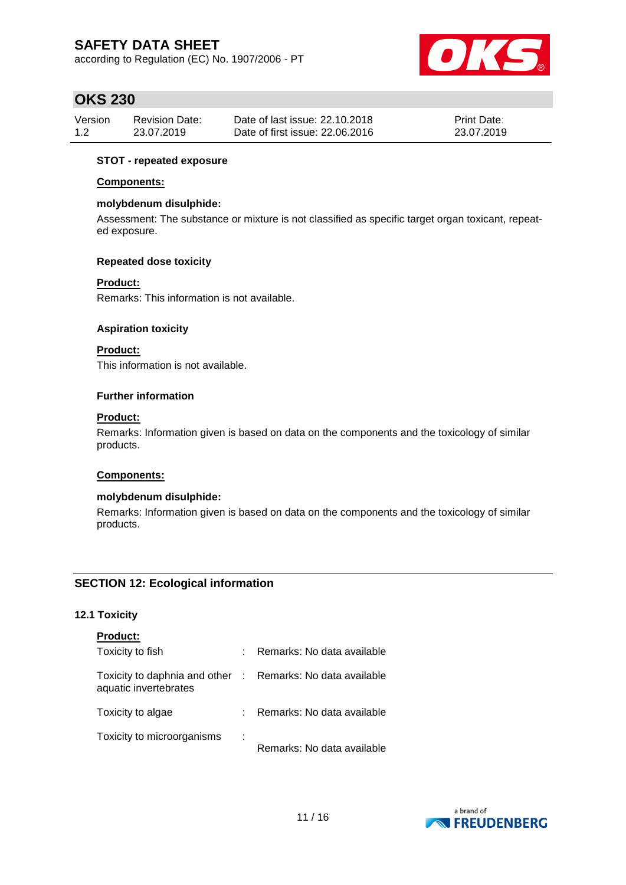according to Regulation (EC) No. 1907/2006 - PT



### **OKS 230**

| Version | Revision Date: | Date of last issue: 22.10.2018  | <b>Print Date:</b> |
|---------|----------------|---------------------------------|--------------------|
| 1.2     | 23.07.2019     | Date of first issue: 22.06.2016 | 23.07.2019         |

#### **STOT - repeated exposure**

#### **Components:**

#### **molybdenum disulphide:**

Assessment: The substance or mixture is not classified as specific target organ toxicant, repeated exposure.

#### **Repeated dose toxicity**

#### **Product:**

Remarks: This information is not available.

#### **Aspiration toxicity**

### **Product:**

This information is not available.

#### **Further information**

#### **Product:**

Remarks: Information given is based on data on the components and the toxicology of similar products.

#### **Components:**

#### **molybdenum disulphide:**

Remarks: Information given is based on data on the components and the toxicology of similar products.

### **SECTION 12: Ecological information**

### **12.1 Toxicity**

| <b>Product:</b>                                                                     |    |                            |
|-------------------------------------------------------------------------------------|----|----------------------------|
| Toxicity to fish                                                                    | t. | Remarks: No data available |
| Toxicity to daphnia and other : Remarks: No data available<br>aquatic invertebrates |    |                            |
| Toxicity to algae                                                                   |    | Remarks: No data available |
| Toxicity to microorganisms                                                          | ÷  | Remarks: No data available |

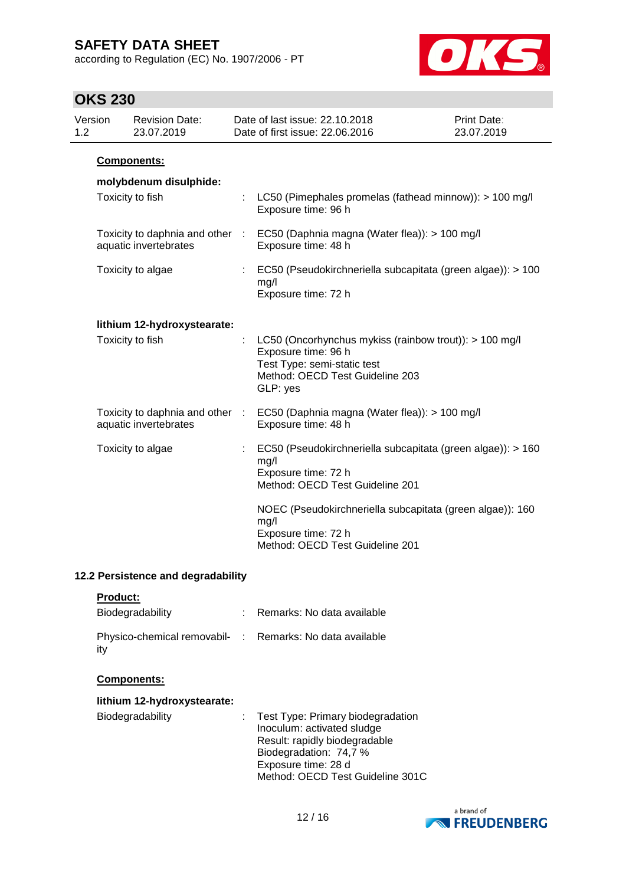according to Regulation (EC) No. 1907/2006 - PT



## **OKS 230**

| Version<br>1.2 | <b>Revision Date:</b><br>23.07.2019                      |                | Date of last issue: 22.10.2018<br>Date of first issue: 22.06.2016                                                                                           | <b>Print Date:</b><br>23.07.2019 |
|----------------|----------------------------------------------------------|----------------|-------------------------------------------------------------------------------------------------------------------------------------------------------------|----------------------------------|
|                | Components:                                              |                |                                                                                                                                                             |                                  |
|                | molybdenum disulphide:                                   |                |                                                                                                                                                             |                                  |
|                | Toxicity to fish                                         | t              | LC50 (Pimephales promelas (fathead minnow)): > 100 mg/l<br>Exposure time: 96 h                                                                              |                                  |
|                | Toxicity to daphnia and other<br>aquatic invertebrates   | $\sim 10^{-1}$ | EC50 (Daphnia magna (Water flea)): > 100 mg/l<br>Exposure time: 48 h                                                                                        |                                  |
|                | Toxicity to algae                                        |                | EC50 (Pseudokirchneriella subcapitata (green algae)): > 100<br>mg/l<br>Exposure time: 72 h                                                                  |                                  |
|                | lithium 12-hydroxystearate:                              |                |                                                                                                                                                             |                                  |
|                | Toxicity to fish                                         | ÷              | LC50 (Oncorhynchus mykiss (rainbow trout)): > 100 mg/l<br>Exposure time: 96 h<br>Test Type: semi-static test<br>Method: OECD Test Guideline 203<br>GLP: yes |                                  |
|                | Toxicity to daphnia and other :<br>aquatic invertebrates |                | EC50 (Daphnia magna (Water flea)): > 100 mg/l<br>Exposure time: 48 h                                                                                        |                                  |
|                | Toxicity to algae                                        | ÷              | EC50 (Pseudokirchneriella subcapitata (green algae)): > 160<br>mg/l<br>Exposure time: 72 h<br>Method: OECD Test Guideline 201                               |                                  |
|                |                                                          |                | NOEC (Pseudokirchneriella subcapitata (green algae)): 160<br>mg/l<br>Exposure time: 72 h<br>Method: OECD Test Guideline 201                                 |                                  |

### **12.2 Persistence and degradability**

|--|

| Biodegradability                                                | : Remarks: No data available |
|-----------------------------------------------------------------|------------------------------|
| Physico-chemical removabil- : Remarks: No data available<br>itv |                              |

#### **Components:**

| lithium 12-hydroxystearate: |                                                                                                                                                                                         |
|-----------------------------|-----------------------------------------------------------------------------------------------------------------------------------------------------------------------------------------|
| Biodegradability            | : Test Type: Primary biodegradation<br>Inoculum: activated sludge<br>Result: rapidly biodegradable<br>Biodegradation: 74,7 %<br>Exposure time: 28 d<br>Method: OECD Test Guideline 301C |

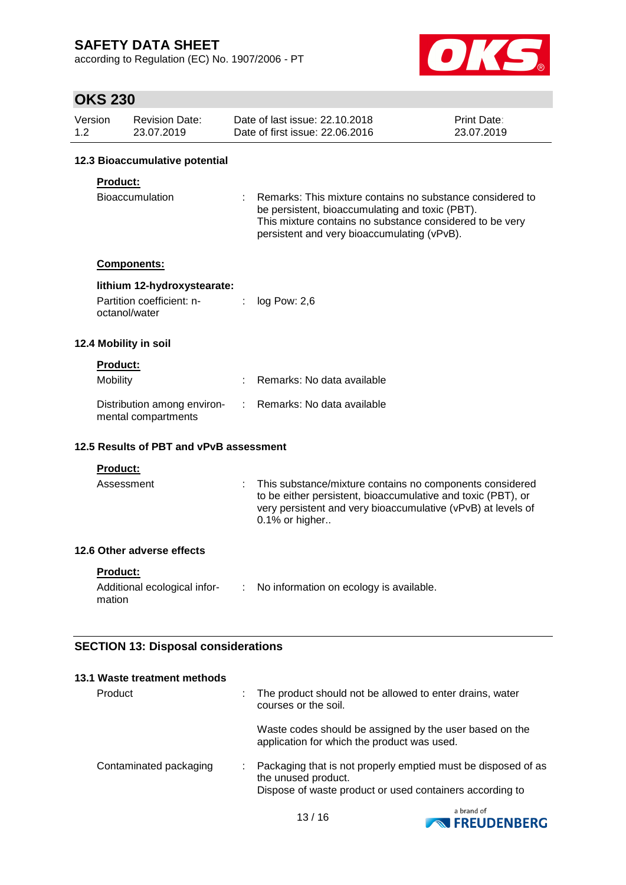according to Regulation (EC) No. 1907/2006 - PT



## **OKS 230**

| Version | <b>Revision Date:</b> | Date of last issue: 22.10.2018  | <b>Print Date:</b> |
|---------|-----------------------|---------------------------------|--------------------|
| 1.2     | 23.07.2019            | Date of first issue: 22,06,2016 | 23.07.2019         |

#### **12.3 Bioaccumulative potential**

### **Product:**

| Bioaccumulation | : Remarks: This mixture contains no substance considered to |  |
|-----------------|-------------------------------------------------------------|--|
|                 | be persistent, bioaccumulating and toxic (PBT).             |  |
|                 | This mixture contains no substance considered to be very    |  |
|                 | persistent and very bioaccumulating (vPvB).                 |  |

#### **Components:**

#### **lithium 12-hydroxystearate:**

| Partition coefficient: n- | $log$ Pow: 2,6 |
|---------------------------|----------------|
| octanol/water             |                |

#### **12.4 Mobility in soil**

### **Product:**

| Mobility                                           | : Remarks: No data available |
|----------------------------------------------------|------------------------------|
| Distribution among environ-<br>mental compartments | : Remarks: No data available |

#### **12.5 Results of PBT and vPvB assessment**

#### **Product:**

| Assessment | : This substance/mixture contains no components considered<br>to be either persistent, bioaccumulative and toxic (PBT), or<br>very persistent and very bioaccumulative (vPvB) at levels of<br>$0.1\%$ or higher |
|------------|-----------------------------------------------------------------------------------------------------------------------------------------------------------------------------------------------------------------|
|            |                                                                                                                                                                                                                 |

### **12.6 Other adverse effects**

**Product:**

| Additional ecological infor- | No information on ecology is available. |
|------------------------------|-----------------------------------------|
| mation                       |                                         |

### **SECTION 13: Disposal considerations**

| 13.1 Waste treatment methods |  |                                                                                                                                                  |
|------------------------------|--|--------------------------------------------------------------------------------------------------------------------------------------------------|
| Product<br>÷                 |  | The product should not be allowed to enter drains, water<br>courses or the soil.                                                                 |
|                              |  | Waste codes should be assigned by the user based on the<br>application for which the product was used.                                           |
| Contaminated packaging       |  | Packaging that is not properly emptied must be disposed of as<br>the unused product.<br>Dispose of waste product or used containers according to |

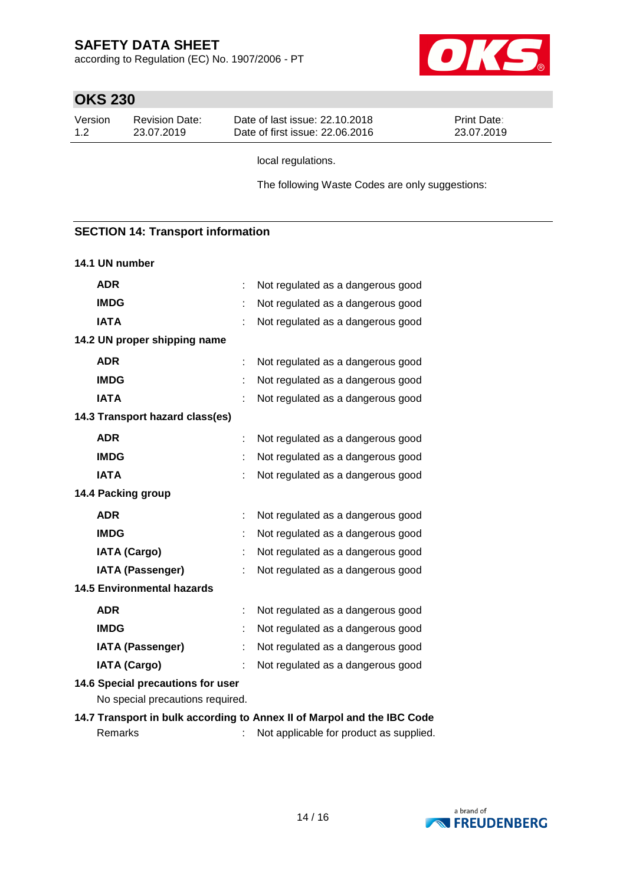according to Regulation (EC) No. 1907/2006 - PT



## **OKS 230**

| Version | Revision Date: | Date of last issue: 22.10.2018  | <b>Print Date:</b> |
|---------|----------------|---------------------------------|--------------------|
| 1.2     | 23.07.2019     | Date of first issue: 22,06,2016 | 23.07.2019         |

local regulations.

The following Waste Codes are only suggestions:

### **SECTION 14: Transport information**

#### **14.1 UN number**

| <b>ADR</b>                                                            | t | Not regulated as a dangerous good |
|-----------------------------------------------------------------------|---|-----------------------------------|
| <b>IMDG</b>                                                           |   | Not regulated as a dangerous good |
| <b>IATA</b>                                                           |   | Not regulated as a dangerous good |
| 14.2 UN proper shipping name                                          |   |                                   |
| <b>ADR</b>                                                            | ÷ | Not regulated as a dangerous good |
| <b>IMDG</b>                                                           |   | Not regulated as a dangerous good |
| <b>IATA</b>                                                           |   | Not regulated as a dangerous good |
| 14.3 Transport hazard class(es)                                       |   |                                   |
| <b>ADR</b>                                                            |   | Not regulated as a dangerous good |
| <b>IMDG</b>                                                           |   | Not regulated as a dangerous good |
| <b>IATA</b>                                                           |   | Not regulated as a dangerous good |
| 14.4 Packing group                                                    |   |                                   |
| <b>ADR</b>                                                            |   | Not regulated as a dangerous good |
| <b>IMDG</b>                                                           |   | Not regulated as a dangerous good |
| <b>IATA (Cargo)</b>                                                   | t | Not regulated as a dangerous good |
| <b>IATA (Passenger)</b>                                               |   | Not regulated as a dangerous good |
| <b>14.5 Environmental hazards</b>                                     |   |                                   |
| <b>ADR</b>                                                            | ÷ | Not regulated as a dangerous good |
| <b>IMDG</b>                                                           |   | Not regulated as a dangerous good |
| <b>IATA (Passenger)</b>                                               |   | Not regulated as a dangerous good |
| <b>IATA (Cargo)</b>                                                   |   | Not regulated as a dangerous good |
| 14.6 Special precautions for user<br>No special precautions required. |   |                                   |

**14.7 Transport in bulk according to Annex II of Marpol and the IBC Code** Remarks : Not applicable for product as supplied.

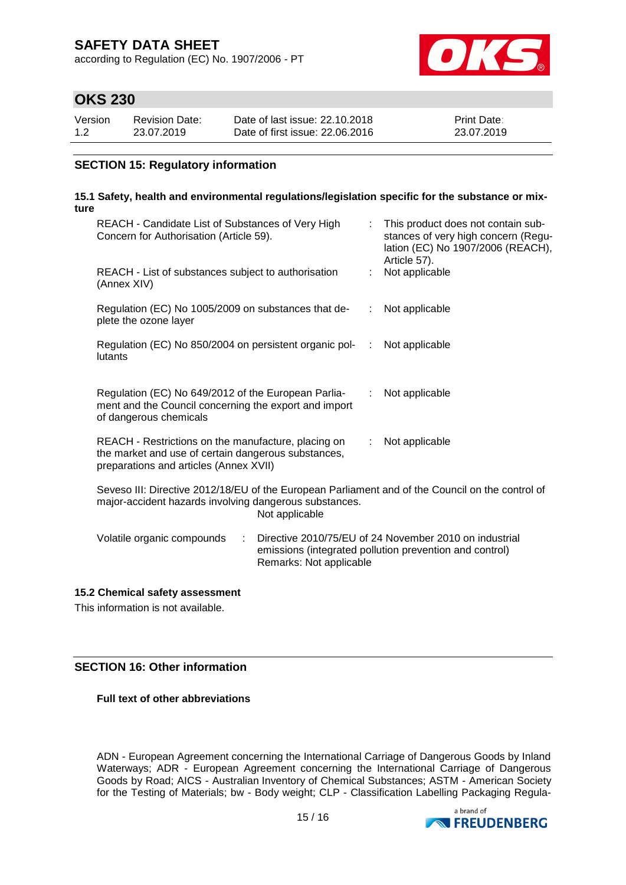according to Regulation (EC) No. 1907/2006 - PT



### **OKS 230**

| Version | <b>Revision Date:</b> | Date of last issue: 22.10.2018  | <b>Print Date:</b> |
|---------|-----------------------|---------------------------------|--------------------|
| 1.2     | 23.07.2019            | Date of first issue: 22,06,2016 | 23.07.2019         |

### **SECTION 15: Regulatory information**

#### **15.1 Safety, health and environmental regulations/legislation specific for the substance or mixture**

| REACH - Candidate List of Substances of Very High<br>Concern for Authorisation (Article 59).                                                                                 |                         |                           | This product does not contain sub-<br>stances of very high concern (Regu-<br>lation (EC) No 1907/2006 (REACH),<br>Article 57). |  |
|------------------------------------------------------------------------------------------------------------------------------------------------------------------------------|-------------------------|---------------------------|--------------------------------------------------------------------------------------------------------------------------------|--|
| REACH - List of substances subject to authorisation<br>(Annex XIV)                                                                                                           |                         |                           | Not applicable                                                                                                                 |  |
| Regulation (EC) No 1005/2009 on substances that de-<br>plete the ozone layer                                                                                                 |                         |                           | : Not applicable                                                                                                               |  |
| Regulation (EC) No 850/2004 on persistent organic pol-<br>lutants                                                                                                            |                         |                           | Not applicable                                                                                                                 |  |
| Regulation (EC) No 649/2012 of the European Parlia-<br>ment and the Council concerning the export and import<br>of dangerous chemicals                                       |                         |                           | Not applicable                                                                                                                 |  |
| REACH - Restrictions on the manufacture, placing on<br>the market and use of certain dangerous substances,<br>preparations and articles (Annex XVII)                         |                         | $\mathbb{R}^{\mathbb{Z}}$ | Not applicable                                                                                                                 |  |
| Seveso III: Directive 2012/18/EU of the European Parliament and of the Council on the control of<br>major-accident hazards involving dangerous substances.<br>Not applicable |                         |                           |                                                                                                                                |  |
| Volatile organic compounds<br>÷                                                                                                                                              | Remarks: Not applicable |                           | Directive 2010/75/EU of 24 November 2010 on industrial<br>emissions (integrated pollution prevention and control)              |  |

### **15.2 Chemical safety assessment**

This information is not available.

#### **SECTION 16: Other information**

**Full text of other abbreviations**

ADN - European Agreement concerning the International Carriage of Dangerous Goods by Inland Waterways; ADR - European Agreement concerning the International Carriage of Dangerous Goods by Road; AICS - Australian Inventory of Chemical Substances; ASTM - American Society for the Testing of Materials; bw - Body weight; CLP - Classification Labelling Packaging Regula-